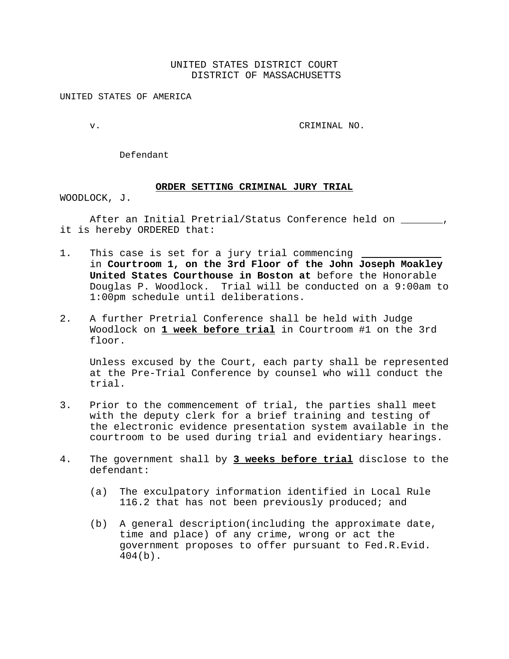# UNITED STATES DISTRICT COURT DISTRICT OF MASSACHUSETTS

UNITED STATES OF AMERICA

v. CRIMINAL NO.

Defendant

#### **ORDER SETTING CRIMINAL JURY TRIAL**

WOODLOCK, J.

After an Initial Pretrial/Status Conference held on \_\_\_\_\_\_\_, it is hereby ORDERED that:

- 1. This case is set for a jury trial commencing in **Courtroom 1, on the 3rd Floor of the John Joseph Moakley United States Courthouse in Boston at** before the Honorable Douglas P. Woodlock. Trial will be conducted on a 9:00am to 1:00pm schedule until deliberations.
- 2. A further Pretrial Conference shall be held with Judge Woodlock on **1 week before trial** in Courtroom #1 on the 3rd floor.

Unless excused by the Court, each party shall be represented at the Pre-Trial Conference by counsel who will conduct the trial.

- 3. Prior to the commencement of trial, the parties shall meet with the deputy clerk for a brief training and testing of the electronic evidence presentation system available in the courtroom to be used during trial and evidentiary hearings.
- 4. The government shall by **3 weeks before trial** disclose to the defendant:
	- (a) The exculpatory information identified in Local Rule 116.2 that has not been previously produced; and
	- (b) A general description(including the approximate date, time and place) of any crime, wrong or act the government proposes to offer pursuant to Fed.R.Evid. 404(b).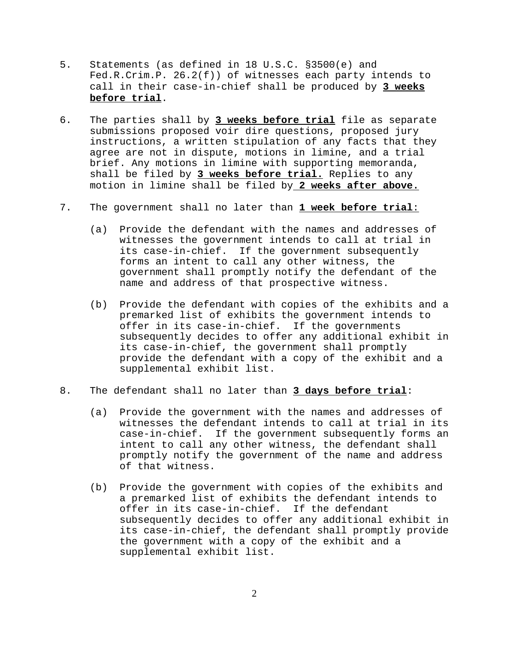- 5. Statements (as defined in 18 U.S.C. §3500(e) and Fed.R.Crim.P. 26.2(f)) of witnesses each party intends to call in their case-in-chief shall be produced by **3 weeks before trial**.
- 6. The parties shall by **3 weeks before trial** file as separate submissions proposed voir dire questions, proposed jury instructions, a written stipulation of any facts that they agree are not in dispute, motions in limine, and a trial brief. Any motions in limine with supporting memoranda, shall be filed by **3 weeks before trial.** Replies to any motion in limine shall be filed by **2 weeks after above.**
- 7. The government shall no later than **1 week before trial**:
	- (a) Provide the defendant with the names and addresses of witnesses the government intends to call at trial in its case-in-chief. If the government subsequently forms an intent to call any other witness, the government shall promptly notify the defendant of the name and address of that prospective witness.
	- (b) Provide the defendant with copies of the exhibits and a premarked list of exhibits the government intends to offer in its case-in-chief. If the governments subsequently decides to offer any additional exhibit in its case-in-chief, the government shall promptly provide the defendant with a copy of the exhibit and a supplemental exhibit list.
- 8. The defendant shall no later than **3 days before trial**:
	- (a) Provide the government with the names and addresses of witnesses the defendant intends to call at trial in its case-in-chief. If the government subsequently forms an intent to call any other witness, the defendant shall promptly notify the government of the name and address of that witness.
	- (b) Provide the government with copies of the exhibits and a premarked list of exhibits the defendant intends to offer in its case-in-chief. If the defendant subsequently decides to offer any additional exhibit in its case-in-chief, the defendant shall promptly provide the government with a copy of the exhibit and a supplemental exhibit list.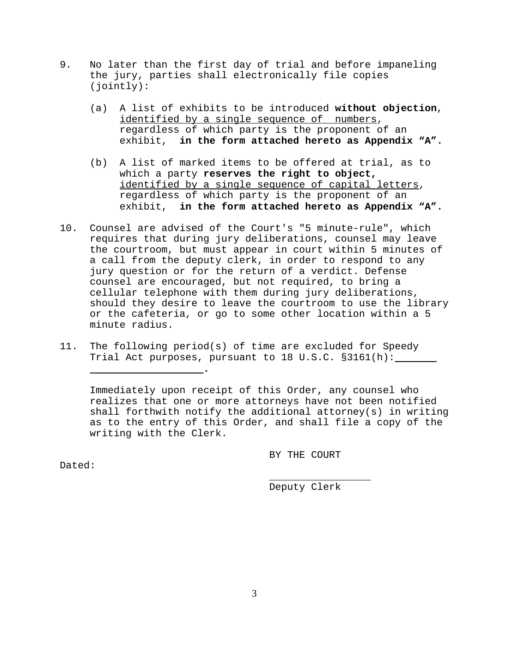- 9. No later than the first day of trial and before impaneling the jury, parties shall electronically file copies (jointly):
	- (a) A list of exhibits to be introduced **without objection**, identified by a single sequence of numbers, regardless of which party is the proponent of an exhibit, **in the form attached hereto as Appendix "A".**
	- (b) A list of marked items to be offered at trial, as to which a party **reserves the right to object,**  identified by a single sequence of capital letters, regardless of which party is the proponent of an exhibit, **in the form attached hereto as Appendix "A".**
- 10. Counsel are advised of the Court's "5 minute-rule", which requires that during jury deliberations, counsel may leave the courtroom, but must appear in court within 5 minutes of a call from the deputy clerk, in order to respond to any jury question or for the return of a verdict. Defense counsel are encouraged, but not required, to bring a cellular telephone with them during jury deliberations, should they desire to leave the courtroom to use the library or the cafeteria, or go to some other location within a 5 minute radius.
- 11. The following period(s) of time are excluded for Speedy Trial Act purposes, pursuant to 18 U.S.C. §3161(h):

Immediately upon receipt of this Order, any counsel who realizes that one or more attorneys have not been notified shall forthwith notify the additional attorney(s) in writing as to the entry of this Order, and shall file a copy of the writing with the Clerk.

BY THE COURT

Dated:

 **.**

Deputy Clerk

\_\_\_\_\_\_\_\_\_\_\_\_\_\_\_\_\_